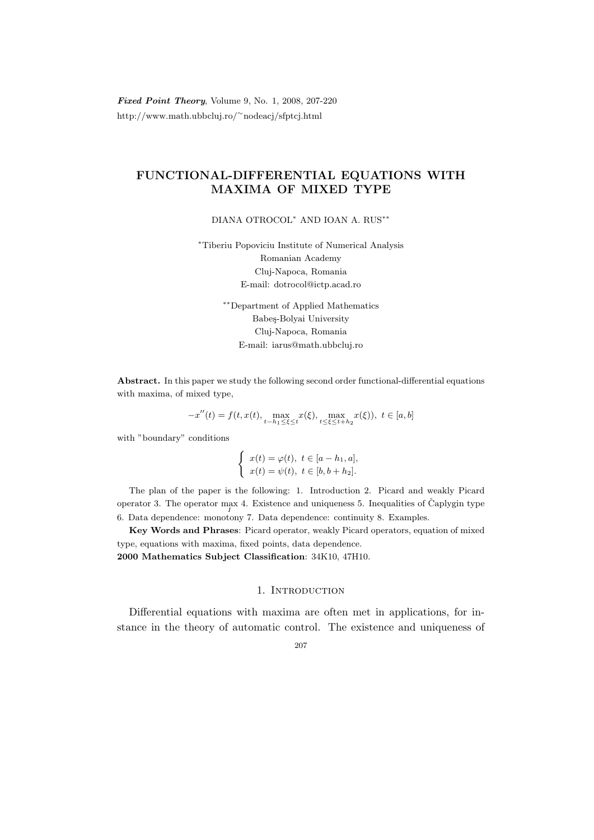Fixed Point Theory, Volume 9, No. 1, 2008, 207-220 http://www.math.ubbcluj.ro/<sup>∼</sup>nodeacj/sfptcj.html

# FUNCTIONAL-DIFFERENTIAL EQUATIONS WITH MAXIMA OF MIXED TYPE

DIANA OTROCOL<sup>∗</sup> AND IOAN A. RUS∗∗

<sup>∗</sup>Tiberiu Popoviciu Institute of Numerical Analysis Romanian Academy Cluj-Napoca, Romania E-mail: dotrocol@ictp.acad.ro

> ∗∗Department of Applied Mathematics Babeş-Bolyai University Cluj-Napoca, Romania E-mail: iarus@math.ubbcluj.ro

Abstract. In this paper we study the following second order functional-differential equations with maxima, of mixed type,

$$
-x''(t) = f(t, x(t), \max_{t-h_1 \le \xi \le t} x(\xi), \max_{t \le \xi \le t+h_2} x(\xi)), \ t \in [a, b]
$$

with "boundary" conditions

$$
\begin{cases}\nx(t) = \varphi(t), \ t \in [a - h_1, a], \\
x(t) = \psi(t), \ t \in [b, b + h_2].\n\end{cases}
$$

The plan of the paper is the following: 1. Introduction 2. Picard and weakly Picard operator 3. The operator max 4. Existence and uniqueness 5. Inequalities of Čaplygin type I 6. Data dependence: monotony 7. Data dependence: continuity 8. Examples.

Key Words and Phrases: Picard operator, weakly Picard operators, equation of mixed type, equations with maxima, fixed points, data dependence. 2000 Mathematics Subject Classification: 34K10, 47H10.

## 1. INTRODUCTION

Differential equations with maxima are often met in applications, for instance in the theory of automatic control. The existence and uniqueness of

### 207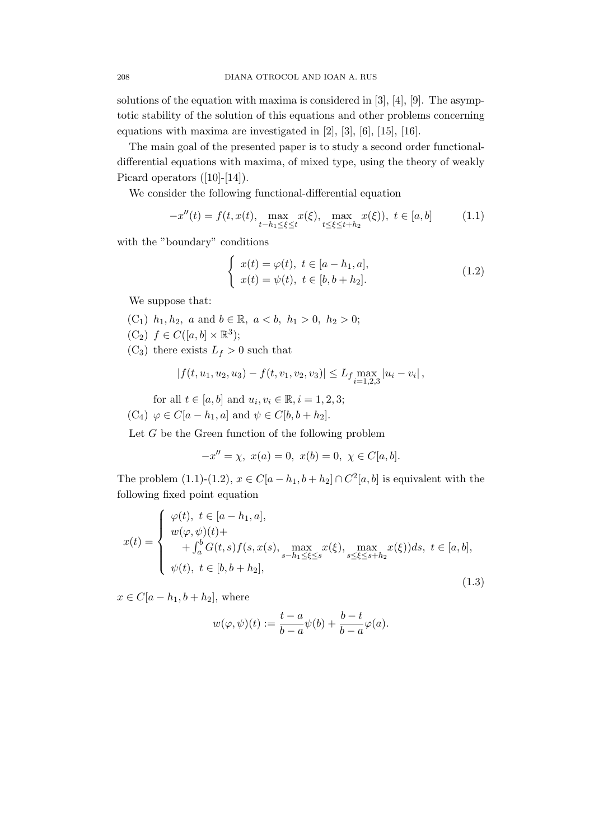solutions of the equation with maxima is considered in [3], [4], [9]. The asymptotic stability of the solution of this equations and other problems concerning equations with maxima are investigated in [2], [3], [6], [15], [16].

The main goal of the presented paper is to study a second order functionaldifferential equations with maxima, of mixed type, using the theory of weakly Picard operators  $([10]-[14])$ .

We consider the following functional-differential equation

$$
-x''(t) = f(t, x(t), \max_{t-h_1 \le \xi \le t} x(\xi), \max_{t \le \xi \le t+h_2} x(\xi)), \ t \in [a, b]
$$
 (1.1)

with the "boundary" conditions

$$
\begin{cases}\nx(t) = \varphi(t), \ t \in [a - h_1, a], \\
x(t) = \psi(t), \ t \in [b, b + h_2].\n\end{cases}
$$
\n(1.2)

We suppose that:

- (C<sub>1</sub>)  $h_1, h_2, a$  and  $b \in \mathbb{R}, a < b, h_1 > 0, h_2 > 0;$  $(C_2)$   $f \in C([a, b] \times \mathbb{R}^3);$
- $(C_3)$  there exists  $L_f > 0$  such that

$$
|f(t, u_1, u_2, u_3) - f(t, v_1, v_2, v_3)| \le L_f \max_{i=1,2,3} |u_i - v_i|,
$$

for all  $t \in [a, b]$  and  $u_i, v_i \in \mathbb{R}, i = 1, 2, 3;$  $(C_4) \varphi \in C[a-h_1, a]$  and  $\psi \in C[b, b+h_2]$ .

Let  $G$  be the Green function of the following problem

$$
-x'' = \chi, \ x(a) = 0, \ x(b) = 0, \ \chi \in C[a, b].
$$

The problem (1.1)-(1.2),  $x \in C[a-h_1, b+h_2] \cap C^2[a,b]$  is equivalent with the following fixed point equation

$$
x(t) = \begin{cases} \n\varphi(t), \ t \in [a - h_1, a], \\ \n w(\varphi, \psi)(t) + \\ \n+ \int_a^b G(t, s) f(s, x(s), \max_{s - h_1 \le \xi \le s} x(\xi), \max_{s \le \xi \le s + h_2} x(\xi)) ds, \ t \in [a, b], \\ \n \psi(t), \ t \in [b, b + h_2], \n\end{cases}
$$
\n(1.3)

 $x \in C[a-h_1, b+h_2]$ , where

$$
w(\varphi,\psi)(t):=\frac{t-a}{b-a}\psi(b)+\frac{b-t}{b-a}\varphi(a).
$$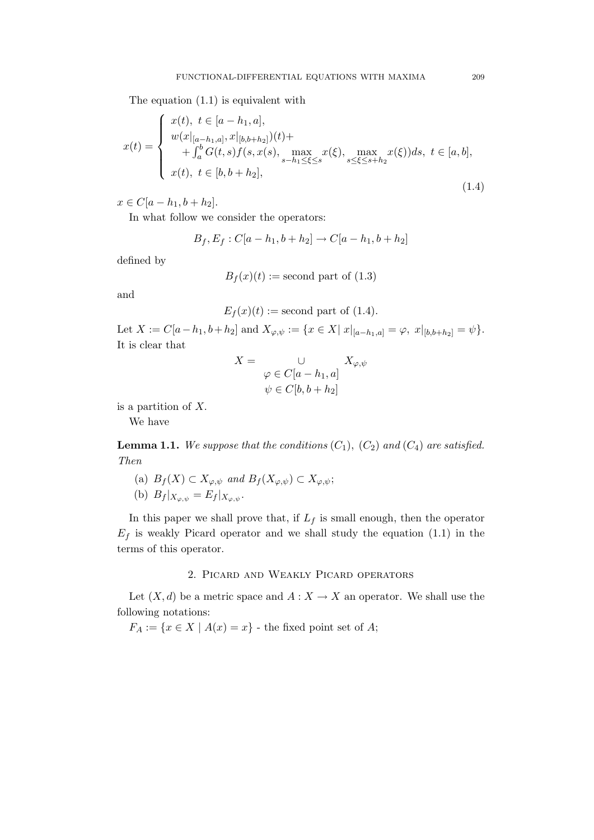The equation (1.1) is equivalent with

$$
x(t) = \begin{cases} x(t), \ t \in [a-h_1, a], \\ w(x|_{[a-h_1, a]}, x|_{[b, b+h_2]}) (t) + \\ + \int_a^b G(t, s) f(s, x(s), \max_{s-h_1 \le \xi \le s} x(\xi), \max_{s \le \xi \le s+h_2} x(\xi) ) ds, \ t \in [a, b], \\ x(t), \ t \in [b, b+h_2], \end{cases}
$$
(1.4)

 $x \in C[a - h_1, b + h_2].$ 

In what follow we consider the operators:

$$
B_f, E_f : C[a - h_1, b + h_2] \to C[a - h_1, b + h_2]
$$

defined by

$$
B_f(x)(t) :=
$$
second part of (1.3)

and

$$
E_f(x)(t) :=
$$
second part of (1.4).

Let  $X := C[a-h_1, b+h_2]$  and  $X_{\varphi,\psi} := \{x \in X | |x|_{[a-h_1,a]} = \varphi, |x|_{[b,b+h_2]} = \psi\}.$ It is clear that

$$
X = \bigcup_{\begin{array}{l} \varphi \in C[a - h_1, a] \\ \psi \in C[b, b + h_2] \end{array}} X_{\varphi, \psi}
$$

is a partition of X.

We have

**Lemma 1.1.** We suppose that the conditions  $(C_1)$ ,  $(C_2)$  and  $(C_4)$  are satisfied. Then

(a) 
$$
B_f(X) \subset X_{\varphi,\psi}
$$
 and  $B_f(X_{\varphi,\psi}) \subset X_{\varphi,\psi}$ ;  
(b)  $B_f|_{X_{\varphi,\psi}} = E_f|_{X_{\varphi,\psi}}$ .

In this paper we shall prove that, if  $L_f$  is small enough, then the operator  $E_f$  is weakly Picard operator and we shall study the equation (1.1) in the terms of this operator.

## 2. Picard and Weakly Picard operators

Let  $(X, d)$  be a metric space and  $A: X \to X$  an operator. We shall use the following notations:

 $F_A := \{x \in X \mid A(x) = x\}$  - the fixed point set of A;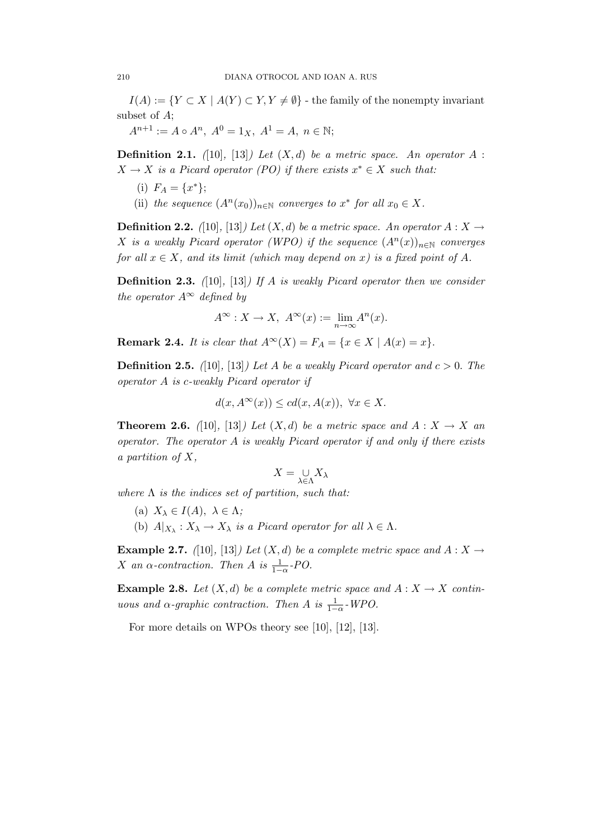$I(A) := \{ Y \subset X \mid A(Y) \subset Y, Y \neq \emptyset \}$  - the family of the nonempty invariant subset of A;

 $A^{n+1} := A \circ A^n$ ,  $A^0 = 1_X$ ,  $A^1 = A$ ,  $n \in \mathbb{N}$ ;

**Definition 2.1.** ([10], [13]) Let  $(X, d)$  be a metric space. An operator A :  $X \to X$  is a Picard operator (PO) if there exists  $x^* \in X$  such that:

- (i)  $F_A = \{x^*\};$
- (ii) the sequence  $(A^n(x_0))_{n\in\mathbb{N}}$  converges to  $x^*$  for all  $x_0 \in X$ .

**Definition 2.2.** ([10], [13]) Let  $(X, d)$  be a metric space. An operator  $A: X \rightarrow$ X is a weakly Picard operator (WPO) if the sequence  $(A<sup>n</sup>(x))<sub>n\in\mathbb{N}</sub>$  converges for all  $x \in X$ , and its limit (which may depend on x) is a fixed point of A.

**Definition 2.3.** ([10], [13]) If A is weakly Picard operator then we consider the operator  $A^{\infty}$  defined by

$$
A^{\infty}: X \to X, \ A^{\infty}(x) := \lim_{n \to \infty} A^n(x).
$$

**Remark 2.4.** It is clear that  $A^{\infty}(X) = F_A = \{x \in X \mid A(x) = x\}.$ 

**Definition 2.5.** ([10], [13]) Let A be a weakly Picard operator and  $c > 0$ . The operator A is c-weakly Picard operator if

$$
d(x, A^{\infty}(x)) \leq c d(x, A(x)), \ \forall x \in X.
$$

**Theorem 2.6.** ([10], [13]) Let  $(X,d)$  be a metric space and  $A: X \to X$  and operator. The operator A is weakly Picard operator if and only if there exists a partition of  $X$ ,

$$
X=\underset{\lambda\in\Lambda}{\cup}X_{\lambda}
$$

where  $\Lambda$  is the indices set of partition, such that:

- (a)  $X_{\lambda} \in I(A), \lambda \in \Lambda$ ;
- (b)  $A|_{X_{\lambda}} : X_{\lambda} \to X_{\lambda}$  is a Picard operator for all  $\lambda \in \Lambda$ .

**Example 2.7.** ([10], [13]) Let  $(X, d)$  be a complete metric space and  $A: X \rightarrow$ X an  $\alpha$ -contraction. Then A is  $\frac{1}{1-\alpha}$ -PO.

**Example 2.8.** Let  $(X, d)$  be a complete metric space and  $A: X \to X$  continuous and  $\alpha$ -graphic contraction. Then A is  $\frac{1}{1-\alpha}$ -WPO.

For more details on WPOs theory see [10], [12], [13].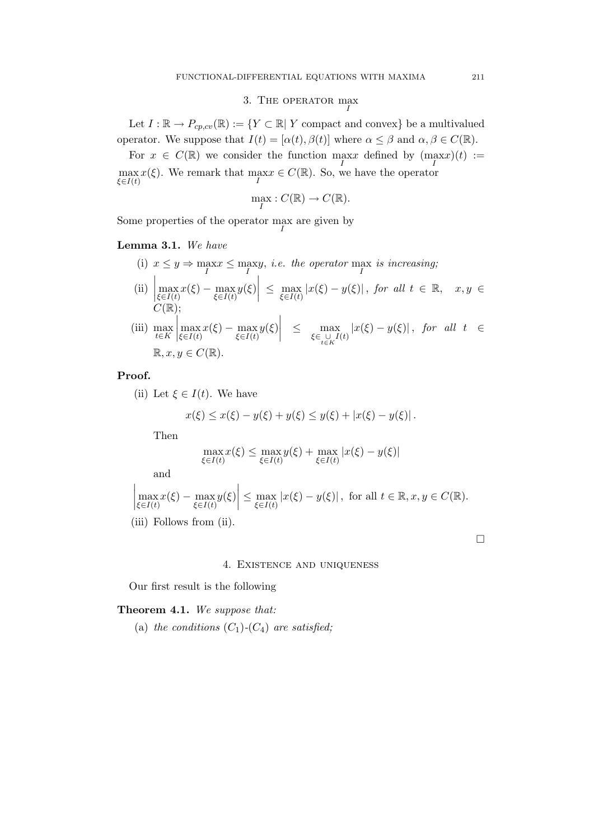# 3. THE OPERATOR  $\max_{I}$

Let  $I : \mathbb{R} \to P_{cp, cv}(\mathbb{R}) := \{ Y \subset \mathbb{R} \mid Y \text{ compact and convex} \}$  be a multivalued operator. We suppose that  $I(t) = [\alpha(t), \beta(t)]$  where  $\alpha \leq \beta$  and  $\alpha, \beta \in C(\mathbb{R})$ .

For  $x \in C(\mathbb{R})$  we consider the function  $\max_{I}$  defined by  $(\max_{I} x)(t) :=$  $\max_{f \in I(t)} x(\xi)$ . We remark that  $\max_{I} x \in C(\mathbb{R})$ . So, we have the operator ξ∈ $I(t)$ 

$$
\max_{I}: C(\mathbb{R}) \to C(\mathbb{R}).
$$

Some properties of the operator  $\max_{I}$  are given by

Lemma 3.1. We have

- (i)  $x \leq y \Rightarrow \max_{I} x \leq \max_{I} y$ , *i.e.* the operator  $\max_{I} i s$  increasing;
- $\begin{array}{|c|c|}\n\hline\n\vdots\n\end{array}$  $\max_{\xi \in I(t)} x(\xi) - \max_{\xi \in I(t)} y(\xi)$  $\leq \max_{\xi \in I(t)} |x(\xi) - y(\xi)|$ , for all  $t \in \mathbb{R}$ ,  $x, y \in$  $C(\mathbb{R});$

(iii) 
$$
\max_{t \in K} \left| \max_{\xi \in I(t)} x(\xi) - \max_{\xi \in I(t)} y(\xi) \right| \leq \max_{\xi \in \bigcup_{t \in K} I(t)} |x(\xi) - y(\xi)|, \text{ for all } t \in \mathbb{R}, x, y \in C(\mathbb{R}).
$$

Proof.

(ii) Let  $\xi \in I(t)$ . We have

$$
x(\xi) \le x(\xi) - y(\xi) + y(\xi) \le y(\xi) + |x(\xi) - y(\xi)|.
$$

Then

$$
\max_{\xi \in I(t)} x(\xi) \le \max_{\xi \in I(t)} y(\xi) + \max_{\xi \in I(t)} |x(\xi) - y(\xi)|
$$

and

$$
\left|\max_{\xi \in I(t)} x(\xi) - \max_{\xi \in I(t)} y(\xi)\right| \le \max_{\xi \in I(t)} |x(\xi) - y(\xi)|
$$
, for all  $t \in \mathbb{R}, x, y \in C(\mathbb{R})$ .  
(iii) Follows from (ii).

4. Existence and uniqueness

Our first result is the following

Theorem 4.1. We suppose that:

(a) the conditions  $(C_1)$ - $(C_4)$  are satisfied;

 $\Box$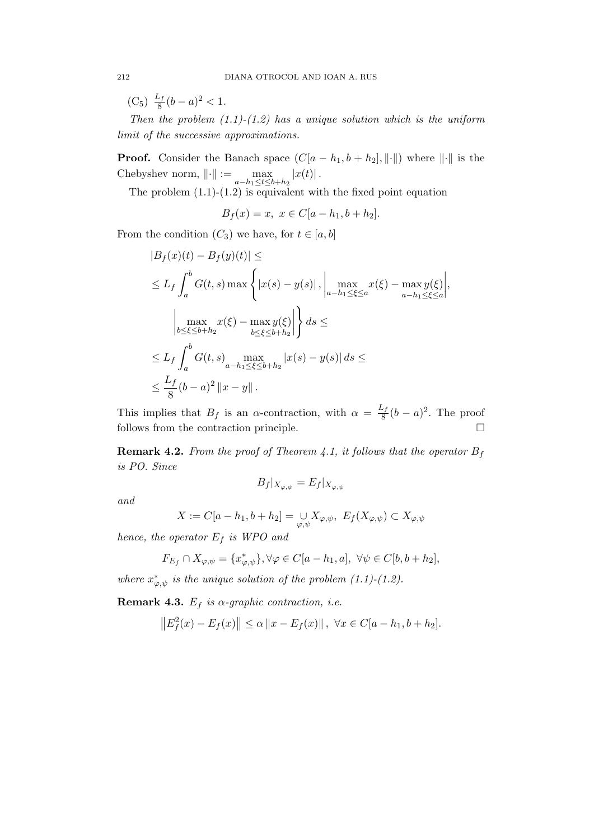$(C_5) \frac{L_f}{8}$  $\frac{df}{8}(b-a)^2 < 1.$ 

Then the problem  $(1.1)-(1.2)$  has a unique solution which is the uniform limit of the successive approximations.

**Proof.** Consider the Banach space  $(C[a - h_1, b + h_2], \|\cdot\|)$  where  $\|\cdot\|$  is the Chebyshev norm,  $\|\cdot\| := \max_{a-h_1 \le t \le b+h_2} |x(t)|$ .

The problem  $(1.1)-(1.2)$  is equivalent with the fixed point equation

$$
B_f(x) = x, \ x \in C[a - h_1, b + h_2].
$$

From the condition  $(C_3)$  we have, for  $t \in [a, b]$ 

$$
|B_f(x)(t) - B_f(y)(t)| \le
$$
  
\n
$$
\leq L_f \int_a^b G(t, s) \max \left\{ |x(s) - y(s)|, \left| \max_{a - h_1 \leq \xi \leq a} x(\xi) - \max_{a - h_1 \leq \xi \leq a} y(\xi) \right| \right\}
$$
  
\n
$$
\left| \max_{b \leq \xi \leq b + h_2} x(\xi) - \max_{b \leq \xi \leq b + h_2} y(\xi) \right| \right\} ds \le
$$
  
\n
$$
\leq L_f \int_a^b G(t, s) \max_{a - h_1 \leq \xi \leq b + h_2} |x(s) - y(s)| ds \le
$$
  
\n
$$
\leq \frac{L_f}{8} (b - a)^2 ||x - y||.
$$

This implies that  $B_f$  is an  $\alpha$ -contraction, with  $\alpha = \frac{L_f}{8}$  $\frac{C_f}{8}(b-a)^2$ . The proof follows from the contraction principle.  $\Box$ 

**Remark 4.2.** From the proof of Theorem 4.1, it follows that the operator  $B_f$ is PO. Since

$$
B_f|_{X_{\varphi,\psi}} = E_f|_{X_{\varphi,\psi}}
$$

and

$$
X := C[a - h_1, b + h_2] = \bigcup_{\varphi, \psi} X_{\varphi, \psi}, \ E_f(X_{\varphi, \psi}) \subset X_{\varphi, \psi}
$$

hence, the operator  $E_f$  is WPO and

$$
F_{E_f} \cap X_{\varphi,\psi} = \{x_{\varphi,\psi}^*\}, \forall \varphi \in C[a-h_1,a], \ \forall \psi \in C[b,b+h_2],
$$

where  $x^*_{\varphi,\psi}$  is the unique solution of the problem (1.1)-(1.2).

Remark 4.3.  $E_f$  is  $\alpha$ -graphic contraction, i.e.

$$
||E_f^2(x) - E_f(x)|| \le \alpha ||x - E_f(x)||, \ \forall x \in C[a - h_1, b + h_2].
$$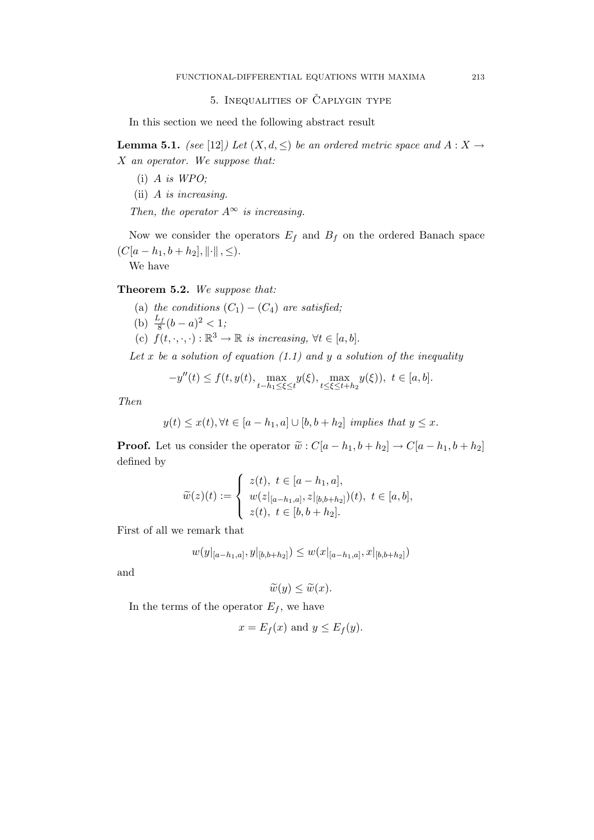## 5. INEQUALITIES OF CAPLYGIN TYPE

In this section we need the following abstract result

**Lemma 5.1.** (see [12]) Let  $(X, d, \leq)$  be an ordered metric space and  $A: X \to$ X an operator. We suppose that:

- $(i)$  A is WPO;
- (ii) A is increasing.

Then, the operator  $A^{\infty}$  is increasing.

Now we consider the operators  $E_f$  and  $B_f$  on the ordered Banach space  $(C[a - h_1, b + h_2], \|\cdot\|, \leq).$ 

We have

Theorem 5.2. We suppose that:

- (a) the conditions  $(C_1) (C_4)$  are satisfied;
- (b)  $\frac{L_f}{8}(b-a)^2 < 1;$
- (c)  $f(t, \cdot, \cdot, \cdot) : \mathbb{R}^3 \to \mathbb{R}$  is increasing,  $\forall t \in [a, b]$ .

Let x be a solution of equation  $(1.1)$  and y a solution of the inequality

$$
-y''(t) \le f(t, y(t), \max_{t-h_1 \le \xi \le t} y(\xi), \max_{t \le \xi \le t+h_2} y(\xi)), \ t \in [a, b].
$$

Then

$$
y(t) \le x(t), \forall t \in [a - h_1, a] \cup [b, b + h_2] \text{ implies that } y \le x.
$$

**Proof.** Let us consider the operator  $\widetilde{w}: C[a-h_1, b+h_2] \to C[a-h_1, b+h_2]$ defined by

$$
\widetilde{w}(z)(t) := \begin{cases}\nz(t), \ t \in [a - h_1, a], \\
w(z|_{[a - h_1, a]}, z|_{[b, b + h_2]})(t), \ t \in [a, b], \\
z(t), \ t \in [b, b + h_2].\n\end{cases}
$$

First of all we remark that

$$
w(y|_{[a-h_1,a]},y|_{[b,b+h_2]}) \leq w(x|_{[a-h_1,a]},x|_{[b,b+h_2]})
$$

and

$$
\widetilde{w}(y) \le \widetilde{w}(x).
$$

In the terms of the operator  $E_f$ , we have

$$
x = E_f(x)
$$
 and  $y \le E_f(y)$ .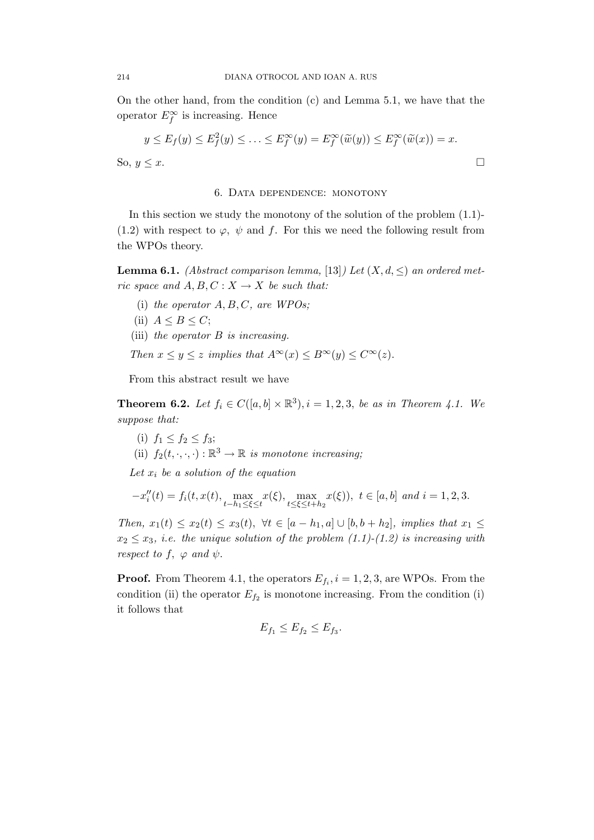On the other hand, from the condition (c) and Lemma 5.1, we have that the operator  $E_f^{\infty}$  is increasing. Hence

$$
y \le E_f(y) \le E_f^2(y) \le \dots \le E_f^{\infty}(y) = E_f^{\infty}(\widetilde{w}(y)) \le E_f^{\infty}(\widetilde{w}(x)) = x.
$$
  
So,  $y \le x$ .

#### 6. Data dependence: monotony

In this section we study the monotony of the solution of the problem (1.1)- (1.2) with respect to  $\varphi$ ,  $\psi$  and f. For this we need the following result from the WPOs theory.

**Lemma 6.1.** (Abstract comparison lemma, [13]) Let  $(X, d, \leq)$  an ordered metric space and  $A, B, C: X \to X$  be such that:

- (i) the operator  $A, B, C$ , are WPOs;
- (ii)  $A \leq B \leq C$ ;
- (iii) the operator  $B$  is increasing.
- Then  $x \le y \le z$  implies that  $A^{\infty}(x) \le B^{\infty}(y) \le C^{\infty}(z)$ .

From this abstract result we have

**Theorem 6.2.** Let  $f_i \in C([a, b] \times \mathbb{R}^3), i = 1, 2, 3$ , be as in Theorem 4.1. We suppose that:

- (i)  $f_1 \le f_2 \le f_3;$
- (ii)  $f_2(t,\cdot,\cdot,\cdot): \mathbb{R}^3 \to \mathbb{R}$  is monotone increasing;

Let  $x_i$  be a solution of the equation

$$
-x_i''(t) = f_i(t, x(t), \max_{t-h_1 \le \xi \le t} x(\xi), \max_{t \le \xi \le t+h_2} x(\xi)), \ t \in [a, b] \ and \ i = 1, 2, 3.
$$

Then,  $x_1(t) \le x_2(t) \le x_3(t)$ ,  $\forall t \in [a-h_1, a] \cup [b, b+h_2]$ , implies that  $x_1 \le$  $x_2 \leq x_3$ , i.e. the unique solution of the problem (1.1)-(1.2) is increasing with respect to f,  $\varphi$  and  $\psi$ .

**Proof.** From Theorem 4.1, the operators  $E_{f_i}$ ,  $i = 1, 2, 3$ , are WPOs. From the condition (ii) the operator  $E_{f_2}$  is monotone increasing. From the condition (i) it follows that

$$
E_{f_1} \le E_{f_2} \le E_{f_3}.
$$

$$
\qquad \qquad \Box
$$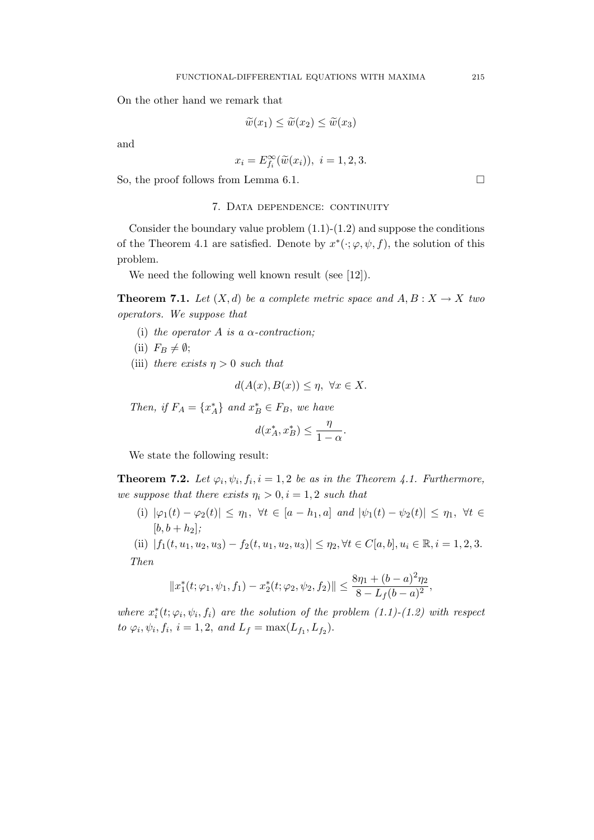On the other hand we remark that

$$
\widetilde{w}(x_1) \le \widetilde{w}(x_2) \le \widetilde{w}(x_3)
$$

and

$$
x_i = E_{f_i}^{\infty}(\widetilde{w}(x_i)), \ i = 1, 2, 3.
$$

So, the proof follows from Lemma 6.1.  $\Box$ 

### 7. Data dependence: continuity

Consider the boundary value problem  $(1.1)-(1.2)$  and suppose the conditions of the Theorem 4.1 are satisfied. Denote by  $x^*(\cdot; \varphi, \psi, f)$ , the solution of this problem.

We need the following well known result (see [12]).

**Theorem 7.1.** Let  $(X, d)$  be a complete metric space and  $A, B: X \rightarrow X$  two operators. We suppose that

- (i) the operator A is a  $\alpha$ -contraction;
- (ii)  $F_B \neq \emptyset$ ;
- (iii) there exists  $\eta > 0$  such that

$$
d(A(x), B(x)) \le \eta, \ \forall x \in X.
$$

Then, if  $F_A = \{x_A^*\}$  and  $x_B^* \in F_B$ , we have

$$
d(x_A^*, x_B^*) \le \frac{\eta}{1-\alpha}.
$$

We state the following result:

**Theorem 7.2.** Let  $\varphi_i, \psi_i, f_i, i = 1, 2$  be as in the Theorem 4.1. Furthermore, we suppose that there exists  $\eta_i > 0, i = 1, 2$  such that

(i)  $|\varphi_1(t) - \varphi_2(t)| \leq \eta_1$ ,  $\forall t \in [a - h_1, a]$  and  $|\psi_1(t) - \psi_2(t)| \leq \eta_1$ ,  $\forall t \in$  $[b, b + h_2]$ ;

(ii)  $|f_1(t, u_1, u_2, u_3) - f_2(t, u_1, u_2, u_3)| \leq \eta_2, \forall t \in C[a, b], u_i \in \mathbb{R}, i = 1, 2, 3.$ Then

$$
||x_1^*(t; \varphi_1, \psi_1, f_1) - x_2^*(t; \varphi_2, \psi_2, f_2)|| \le \frac{8\eta_1 + (b - a)^2 \eta_2}{8 - L_f(b - a)^2},
$$

where  $x_i^*(t; \varphi_i, \psi_i, f_i)$  are the solution of the problem  $(1.1)-(1.2)$  with respect to  $\varphi_i, \psi_i, f_i, i = 1, 2, and L_f = \max(L_{f_1}, L_{f_2}).$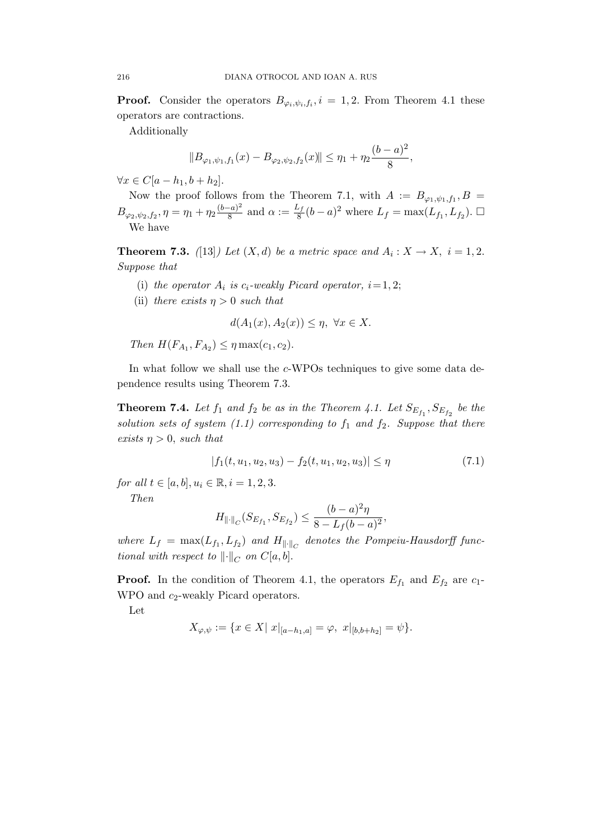**Proof.** Consider the operators  $B_{\varphi_i,\psi_i,f_i}, i = 1,2$ . From Theorem 4.1 these operators are contractions.

Additionally

$$
||B_{\varphi_1,\psi_1,f_1}(x)-B_{\varphi_2,\psi_2,f_2}(x)|| \leq \eta_1+\eta_2\frac{(b-a)^2}{8},
$$

 $\forall x \in C[a-h_1, b+h_2].$ 

Now the proof follows from the Theorem 7.1, with  $A := B_{\varphi_1,\psi_1,f_1}, B =$  $B_{\varphi_2,\psi_2,f_2}, \eta = \eta_1 + \eta_2 \frac{(b-a)^2}{8}$  $\frac{(-a)^2}{8}$  and  $\alpha := \frac{L_f}{8}$  $\frac{L_f}{8}(b-a)^2$  where  $L_f = \max(L_{f_1}, L_{f_2})$ . □ We have

**Theorem 7.3.** ([13]) Let  $(X,d)$  be a metric space and  $A_i: X \to X$ ,  $i = 1,2$ . Suppose that

- (i) the operator  $A_i$  is  $c_i$ -weakly Picard operator,  $i = 1, 2;$
- (ii) there exists  $\eta > 0$  such that

$$
d(A_1(x), A_2(x)) \le \eta, \ \forall x \in X.
$$

Then  $H(F_{A_1}, F_{A_2}) \leq \eta \max(c_1, c_2)$ .

In what follow we shall use the c-WPOs techniques to give some data dependence results using Theorem 7.3.

**Theorem 7.4.** Let  $f_1$  and  $f_2$  be as in the Theorem 4.1. Let  $S_{E_{f_1}}, S_{E_{f_2}}$  be the solution sets of system (1.1) corresponding to  $f_1$  and  $f_2$ . Suppose that there exists  $\eta > 0$ , such that

$$
|f_1(t, u_1, u_2, u_3) - f_2(t, u_1, u_2, u_3)| \le \eta \tag{7.1}
$$

for all  $t \in [a, b], u_i \in \mathbb{R}, i = 1, 2, 3.$ 

Then

$$
H_{\|\cdot\|_C}(S_{E_{f_1}},S_{E_{f_2}}) \leq \frac{(b-a)^2\eta}{8-L_f(b-a)^2},
$$

where  $L_f = \max(L_{f_1}, L_{f_2})$  and  $H_{\|\cdot\|_C}$  denotes the Pompeiu-Hausdorff functional with respect to  $\lVert \cdot \rVert_C$  on  $C[a, b]$ .

**Proof.** In the condition of Theorem 4.1, the operators  $E_{f_1}$  and  $E_{f_2}$  are  $c_1$ -WPO and  $c_2$ -weakly Picard operators.

Let

$$
X_{\varphi,\psi} := \{ x \in X | \ x|_{[a-h_1,a]} = \varphi, \ x|_{[b,b+h_2]} = \psi \}.
$$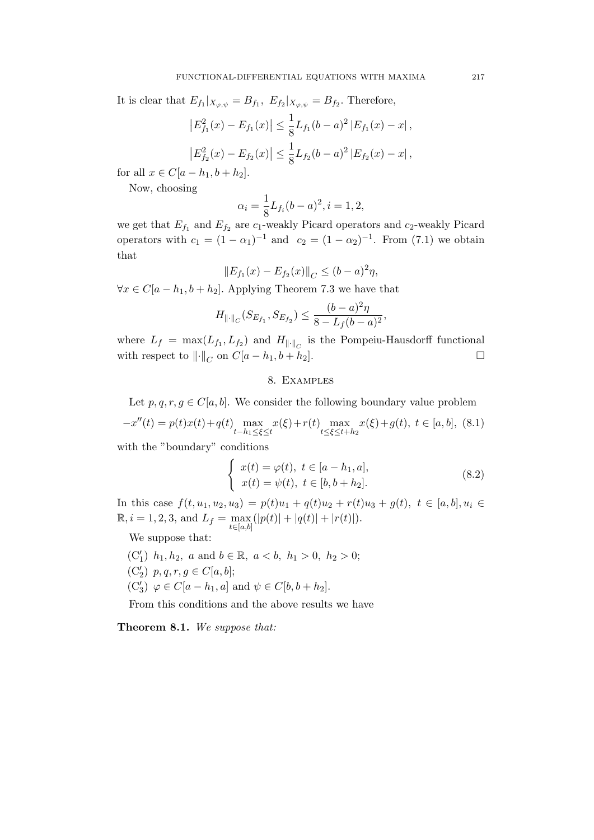It is clear that  $E_{f_1}|_{X_{\varphi,\psi}} = B_{f_1}, E_{f_2}|_{X_{\varphi,\psi}} = B_{f_2}.$  Therefore,

$$
\left|E_{f_1}^2(x) - E_{f_1}(x)\right| \le \frac{1}{8} L_{f_1}(b-a)^2 \left|E_{f_1}(x) - x\right|,
$$
  

$$
\left|E_{f_2}^2(x) - E_{f_2}(x)\right| \le \frac{1}{8} L_{f_2}(b-a)^2 \left|E_{f_2}(x) - x\right|,
$$

for all  $x \in C[a - h_1, b + h_2]$ .

Now, choosing

$$
\alpha_i = \frac{1}{8} L_{f_i} (b - a)^2, i = 1, 2,
$$

we get that  $E_{f_1}$  and  $E_{f_2}$  are  $c_1$ -weakly Picard operators and  $c_2$ -weakly Picard operators with  $c_1 = (1 - \alpha_1)^{-1}$  and  $c_2 = (1 - \alpha_2)^{-1}$ . From (7.1) we obtain that

$$
||E_{f_1}(x) - E_{f_2}(x)||_C \le (b - a)^2 \eta,
$$

 $\forall x \in C[a - h_1, b + h_2]$ . Applying Theorem 7.3 we have that

$$
H_{\|\cdot\|_C}(S_{E_{f_1}}, S_{E_{f_2}}) \leq \frac{(b-a)^2\eta}{8 - L_f(b-a)^2},
$$

where  $L_f = \max(L_{f_1}, L_{f_2})$  and  $H_{\|\cdot\|_C}$  is the Pompeiu-Hausdorff functional with respect to  $\|\cdot\|_C$  on  $C[a-h_1, b+h_2]$ .

## 8. Examples

Let  $p, q, r, q \in C[a, b]$ . We consider the following boundary value problem  $\alpha^{(t)}(t) = n(t)\alpha(t) + \alpha(t)$  $x(t) + x(t)$ x(ξ) +  $g(t)$  +  $c$  [a, b], (8.1)

$$
-x''(t) = p(t)x(t) + q(t) \max_{t-h_1 \le \xi \le t} x(\xi) + r(t) \max_{t \le \xi \le t+h_2} x(\xi) + g(t), \ t \in [a, b], \ (8.1)
$$

with the "boundary" conditions

$$
\begin{cases}\nx(t) = \varphi(t), \ t \in [a - h_1, a], \\
x(t) = \psi(t), \ t \in [b, b + h_2].\n\end{cases}
$$
\n(8.2)

In this case  $f(t, u_1, u_2, u_3) = p(t)u_1 + q(t)u_2 + r(t)u_3 + g(t), t \in [a, b], u_i \in$  $\mathbb{R}, i = 1, 2, 3, \text{ and } L_f = \max_{t \in [a,b]} (|p(t)| + |q(t)| + |r(t)|).$ 

We suppose that:

(C'<sub>1</sub>)  $h_1, h_2, a$  and  $b \in \mathbb{R}, a < b, h_1 > 0, h_2 > 0;$ (C'<sub>2</sub>)  $p, q, r, g \in C[a, b];$  $(C'_3)$   $\varphi \in C[a - h_1, a]$  and  $\psi \in C[b, b + h_2]$ .

From this conditions and the above results we have

Theorem 8.1. We suppose that: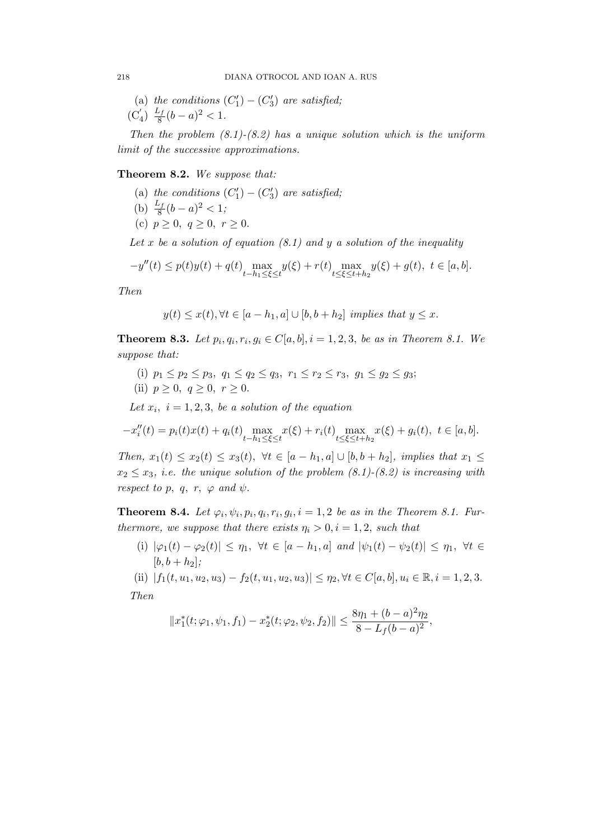(a) the conditions  $(C'_1) - (C'_3)$  are satisfied;  $(C'_4) \frac{L_f}{8}$  $\frac{c_f}{8}(b-a)^2 < 1.$ 

Then the problem  $(8.1)-(8.2)$  has a unique solution which is the uniform limit of the successive approximations.

Theorem 8.2. We suppose that:

- (a) the conditions  $(C'_1) (C'_3)$  are satisfied;
- (b)  $\frac{L_f}{8}(b-a)^2 < 1;$
- (c)  $p \ge 0, q \ge 0, r \ge 0.$

Let x be a solution of equation  $(8.1)$  and y a solution of the inequality

$$
-y''(t) \le p(t)y(t) + q(t) \max_{t-h_1 \le \xi \le t} y(\xi) + r(t) \max_{t \le \xi \le t+h_2} y(\xi) + g(t), \ t \in [a, b].
$$

Then

$$
y(t) \leq x(t), \forall t \in [a - h_1, a] \cup [b, b + h_2]
$$
 implies that  $y \leq x$ .

**Theorem 8.3.** Let  $p_i, q_i, r_i, g_i \in C[a, b], i = 1, 2, 3$ , be as in Theorem 8.1. We suppose that:

- (i)  $p_1 \leq p_2 \leq p_3$ ,  $q_1 \leq q_2 \leq q_3$ ,  $r_1 \leq r_2 \leq r_3$ ,  $g_1 \leq g_2 \leq g_3$ ;
- (ii)  $p \geq 0, q \geq 0, r \geq 0$ .

Let  $x_i$ ,  $i = 1, 2, 3$ , be a solution of the equation

$$
-x''_i(t) = p_i(t)x(t) + q_i(t) \max_{t-h_1 \le \xi \le t} x(\xi) + r_i(t) \max_{t \le \xi \le t+h_2} x(\xi) + g_i(t), \ t \in [a, b].
$$

Then,  $x_1(t) \le x_2(t) \le x_3(t)$ ,  $\forall t \in [a-h_1, a] \cup [b, b+h_2]$ , implies that  $x_1 \le$  $x_2 \leq x_3$ , i.e. the unique solution of the problem  $(8.1)-(8.2)$  is increasing with respect to p, q, r,  $\varphi$  and  $\psi$ .

**Theorem 8.4.** Let  $\varphi_i, \psi_i, p_i, q_i, r_i, g_i, i = 1, 2$  be as in the Theorem 8.1. Furthermore, we suppose that there exists  $\eta_i > 0, i = 1, 2$ , such that

(i)  $|\varphi_1(t) - \varphi_2(t)| \leq \eta_1$ ,  $\forall t \in [a - h_1, a]$  and  $|\psi_1(t) - \psi_2(t)| \leq \eta_1$ ,  $\forall t \in$  $[b, b + h_2];$ 

(ii)  $|f_1(t, u_1, u_2, u_3) - f_2(t, u_1, u_2, u_3)| \leq \eta_2, \forall t \in C[a, b], u_i \in \mathbb{R}, i = 1, 2, 3.$ Then

$$
||x_1^*(t;\varphi_1,\psi_1,f_1)-x_2^*(t;\varphi_2,\psi_2,f_2)||\leq \frac{8\eta_1+(b-a)^2\eta_2}{8-L_f(b-a)^2},
$$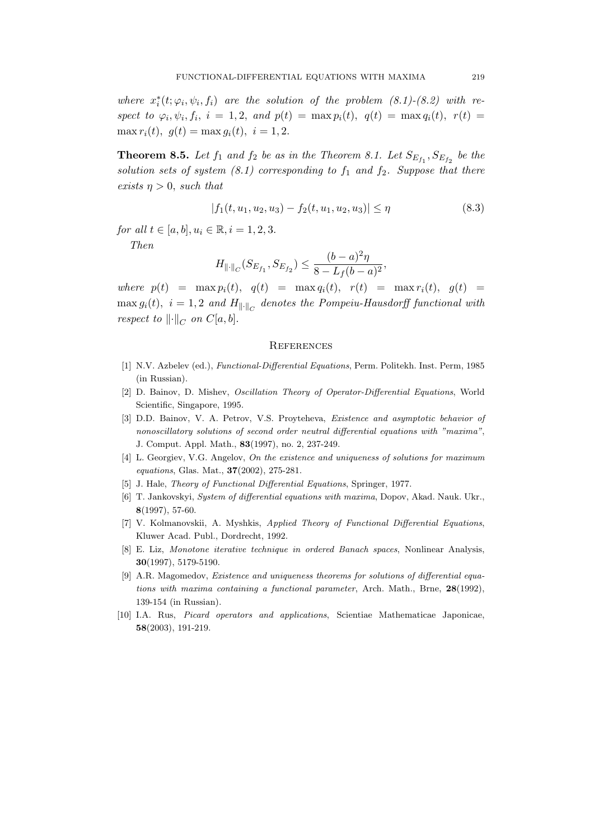where  $x_i^*(t; \varphi_i, \psi_i, f_i)$  are the solution of the problem  $(8.1)-(8.2)$  with respect to  $\varphi_i, \psi_i, f_i, i = 1, 2, and p(t) = \max p_i(t), q(t) = \max q_i(t), r(t) =$ max  $r_i(t)$ ,  $q(t) = \max q_i(t)$ ,  $i = 1, 2$ .

**Theorem 8.5.** Let  $f_1$  and  $f_2$  be as in the Theorem 8.1. Let  $S_{E_{f_1}}, S_{E_{f_2}}$  be the solution sets of system  $(8.1)$  corresponding to  $f_1$  and  $f_2$ . Suppose that there exists  $\eta > 0$ , such that

$$
|f_1(t, u_1, u_2, u_3) - f_2(t, u_1, u_2, u_3)| \le \eta \tag{8.3}
$$

for all  $t \in [a, b], u_i \in \mathbb{R}, i = 1, 2, 3.$ 

Then

$$
H_{\|\cdot\|_C}(S_{E_{f_1}},S_{E_{f_2}})\leq \frac{(b-a)^2\eta}{8-L_f(b-a)^2},
$$

where  $p(t) = \max p_i(t)$ ,  $q(t) = \max q_i(t)$ ,  $r(t) = \max r_i(t)$ ,  $g(t) =$  $\max g_i(t)$ ,  $i = 1, 2$  and  $H_{\|\cdot\|_C}$  denotes the Pompeiu-Hausdorff functional with respect to  $\left\| \cdot \right\|_C$  on  $C[a, b]$ .

#### **REFERENCES**

- [1] N.V. Azbelev (ed.), Functional-Differential Equations, Perm. Politekh. Inst. Perm, 1985 (in Russian).
- [2] D. Bainov, D. Mishev, Oscillation Theory of Operator-Differential Equations, World Scientific, Singapore, 1995.
- [3] D.D. Bainov, V. A. Petrov, V.S. Proyteheva, Existence and asymptotic behavior of nonoscillatory solutions of second order neutral differential equations with "maxima", J. Comput. Appl. Math., 83(1997), no. 2, 237-249.
- [4] L. Georgiev, V.G. Angelov, On the existence and uniqueness of solutions for maximum equations, Glas. Mat., 37(2002), 275-281.
- [5] J. Hale, Theory of Functional Differential Equations, Springer, 1977.
- [6] T. Jankovskyi, System of differential equations with maxima, Dopov, Akad. Nauk. Ukr., 8(1997), 57-60.
- [7] V. Kolmanovskii, A. Myshkis, Applied Theory of Functional Differential Equations, Kluwer Acad. Publ., Dordrecht, 1992.
- [8] E. Liz, Monotone iterative technique in ordered Banach spaces, Nonlinear Analysis, 30(1997), 5179-5190.
- [9] A.R. Magomedov, Existence and uniqueness theorems for solutions of differential equations with maxima containing a functional parameter, Arch. Math., Brne,  $28(1992)$ , 139-154 (in Russian).
- [10] I.A. Rus, Picard operators and applications, Scientiae Mathematicae Japonicae, 58(2003), 191-219.